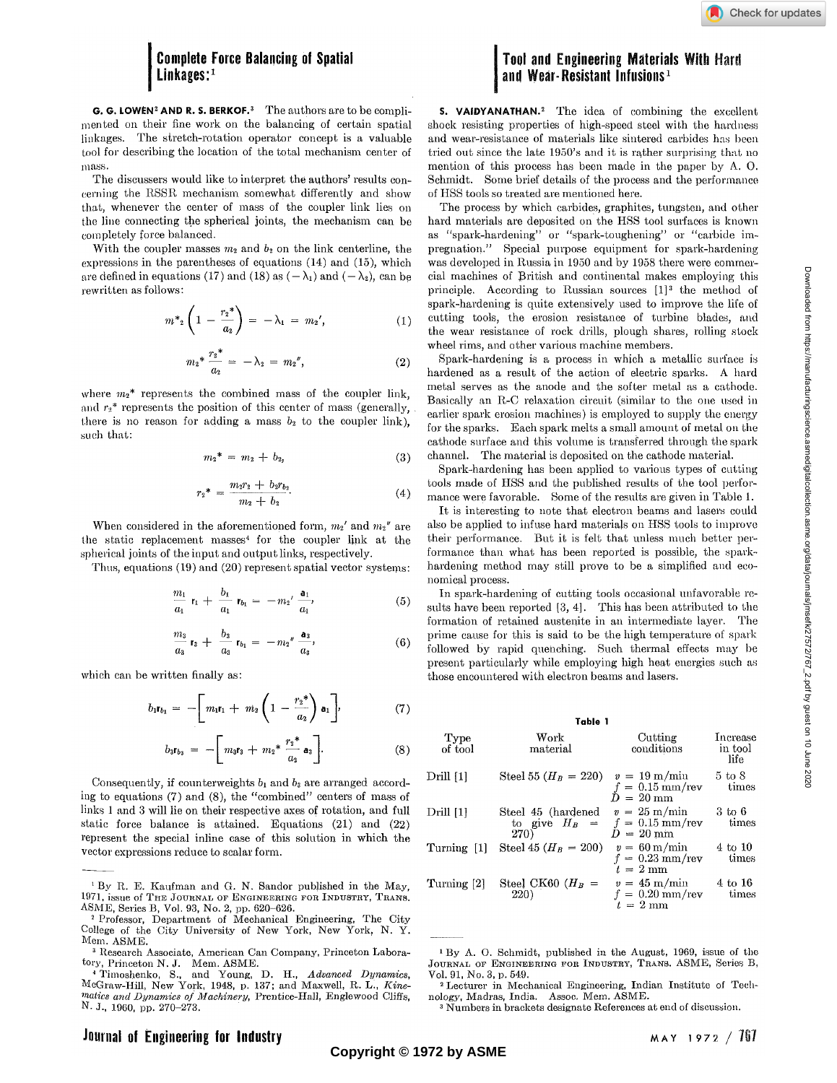# **Complete Force Balancing of Spatial Linkages:<sup>1</sup>**

G. G. LOWEN<sup>2</sup> AND R. S. BERKOF.<sup>3</sup> The authors are to be complimented on their fine work on the balancing of certain spatial linkages. The stretch-rotation operator concept is a valuable tool for describing the location of the total mechanism center of mass.

The discussers would like to interpret the authors' results concerning the RSSR mechanism somewhat differently and show that, whenever the center of mass of the coupler link lies on the line connecting the spherical joints, the mechanism can be completely force balanced.

With the coupler masses  $m_2$  and  $b_2$  on the link centerline, the expressions in the parentheses of equations (14) and (15), which are defined in equations (17) and (18) as  $(-\lambda_1)$  and  $(-\lambda_2)$ , can be rewritten as follows:

$$
m^*_{2}\left(1-\frac{r_2^*}{a_2}\right) = -\lambda_1 = m_2', \qquad (1)
$$

$$
m_2^* \frac{{r_2}^*}{a_2} = -\lambda_2 = m_2'', \qquad (2)
$$

where  $m_2^*$  represents the combined mass of the coupler link, and  $r_2$ <sup>\*</sup> represents the position of this center of mass (generally, there is no reason for adding a mass  $b_2$  to the coupler link), such that:

$$
m_2^* = m_2 + b_2, \tag{3}
$$

$$
r_2^* = \frac{m_2 r_2 + b_2 r_{b_2}}{m_2 + b_2}.
$$
 (4)

When considered in the aforementioned form,  $m_2$ <sup>'</sup> and  $m_2$ <sup>"</sup> are the static replacement masses<sup>4</sup> for the coupler link at the spherical joints of the input and output links, respectively.

Thus, equations (19) and (20) represent spatial vector systems:

$$
\frac{m_1}{a_1} r_1 + \frac{b_1}{a_1} r_{b_1} = -m_2' \frac{a_1}{a_1'}, \tag{5}
$$

$$
\frac{m_3}{a_3} r_3 + \frac{b_3}{a_3} r_{b_1} = -m_2'' \frac{a_3}{a_3}, \qquad (6)
$$

which can be written finally as:

$$
b_1r_{b_1} = -\left[m_1r_1 + m_2\left(1 - \frac{r_2^*}{a_2}\right)a_1\right],\tag{7}
$$

$$
b_3r_{b_3} = -\left[m_3r_3 + m_2*\frac{r_2*}{a_2}\mathbf{a}_3\right].\tag{8}
$$

Consequently, if counterweights  $b_1$  and  $b_3$  are arranged according to equations (7) and (8), the "combined" centers of mass of links 1 and 3 will lie on their respective axes of rotation, and full static force balance is attained. Equations (21) and (22) represent the special inline case of this solution in which the vector expressions reduce to scalar form.

## **Tool and Engineering Materials With Hard and Wear-Resistant Infusions<sup>1</sup>**

S. VAIDYANATHAN.<sup>2</sup> The idea of combining the excellent shock resisting properties of high-speed steel with the hardness and wear-resistance of materials like sintered carbides has been tried out since the late 1950's and it is rather surprising that no mention of this process has been made in the paper by A. O. Schmidt. Some brief details of the process and the performance of HSS tools so treated are mentioned here.

The process by which carbides, graphites, tungsten, and other hard materials are deposited on the HSS tool surfaces is known as "spark-hardening" or "spark-toughening" or "carbide impregnation." Special purpose equipment for spark-hardening was developed in Russia in 1950 and by 1958 there were commercial machines of British and continental makes employing this principle. According to Russian sources  $[1]^3$  the method of spark-hardening is quite extensively used to improve the life of cutting tools, the erosion resistance of turbine blades, and the wear resistance of rock drills, plough shares, rolling stock wheel rims, and other various machine members.

Spark-hardening is a process in which a metallic surface is hardened as a result of the action of electric sparks. A hard metal serves as the anode and the softer metal as a cathode. Basically an R-C relaxation circuit (similar to the one used in earlier spark erosion machines) is employed to supply the energy for the sparks. Each spark melts a small amount of metal on the cathode surface and this volume is transferred through the spark channel. The material is deposited on the cathode material.

Spark-hardening has been applied to various types of cutting tools made of HSS and the published results of the tool performance were favorable. Some of the results are given in Table 1.

It is interesting to note that electron beams and lasers could also be applied to infuse hard materials on HSS tools to improve their performance. But it is felt that unless much better performance than what has been reported is possible, the sparkhardening method may still prove to be a simplified and economical process.

In spark-hardening of cutting tools occasional unfavorable results have been reported [3, 4]. This has been attributed to the formation of retained austenite in an intermediate layer. The prime cause for this is said to be the high temperature of spark followed by rapid quenching. Such thermal effects may be present particularly while employing high heat energies such as those encountered with electron beams and lasers.

#### Table 1

Cutting

Increase

Work

| of tool              | material                                      | conditions                                                              | in tool<br>life                  |
|----------------------|-----------------------------------------------|-------------------------------------------------------------------------|----------------------------------|
| Drill <sub>[1]</sub> | Steel 55 ( $H_B = 220$ )                      | $v = 19 \text{ m/min}$<br>$f = 0.15$ mm/rev<br>$D = 20 \text{ mm}$      | $5 \; \mathrm{to} \; 8$<br>times |
| Drill [1]            | Steel 45 (hardened<br>to give $H_B =$<br>270) | $v = 25 \text{ m/min}$<br>$f = 0.15$ mm/rev<br>$D\,=\,20~\mathrm{mm}$   | 3 to 6<br>times                  |
| Turning [1]          | Steel 45 ( $H_B = 200$ )                      | $v = 60 \,\mathrm{m/min}$<br>$f = 0.23$ mm/rev<br>$t = 2 \,\mathrm{mm}$ | $4 \text{ to } 10$<br>times      |
| Turning [2]          | Steel CK60 $(H_B =$<br>220)                   | $v = 45$ m/min<br>$f = 0.20$ mm/rev<br>$t = 2$ mm                       | 4 to 16<br>times                 |

<sup>1</sup> By A. O. Schmidt, published in the August, 1969, issue of the JOURNAL OF ENGINEERING FOR INDUSTRY, TRANS. ASME, Series B, Vol. 91, No. 3, p. 549.

Type

<sup>&</sup>lt;sup>1</sup> By R. E. Kaufman and G. N. Sandor published in the May, 1971, issue of THE JOURNAL OF ENGINEERING FOR INDUSTRY, TRANS. ASME, Series B, Vol. 93, No. 2, pp. 620-626.

<sup>2</sup> Professor, Department of Mechanical Engineering, The City College of the City University of New York, New York, N. Y. Mem. ASME.

<sup>&</sup>lt;sup>3</sup> Research Associate, American Can Company, Princeton Laboratory, Princeton N. J. Mem. ASME. 4 Timoshenko, S., and Young, D. H., *Advanced Dynamics,* 

McGraw-Hill, New York, 1948, p. 137; and Maxwell, R. L., *Kinematics and Dynamics of Machinery,* Prentice-Hall, Englewood Cliffs, N. J., I960, pp. 270-273.

<sup>&</sup>lt;sup>2</sup> Lecturer in Mechanical Engineering, Indian Institute of Technology, Madras, India. Assoc. Mem. ASME.

Wumbers in brackets designate References at end of discussion.